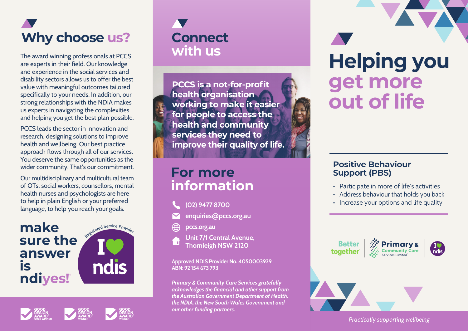

The award winning professionals at PCCS are experts in their field. Our knowledge and experience in the social services and disability sectors allows us to offer the best value with meaningful outcomes tailored specifically to your needs. In addition, our strong relationships with the NDIA makes us experts in navigating the complexities and helping you get the best plan possible.

PCCS leads the sector in innovation and research, designing solutions to improve health and wellbeing. Our best practice approach flows through all of our services. You deserve the same opportunities as the wider community. That's our commitment.

Our multidisciplinary and multicultural team of OTs, social workers, counsellors, mental health nurses and psychologists are here to help in plain English or your preferred language, to help you reach your goals.



**Connect with us**

**PCCS is a not-for-profit health organisation working to make it easier for people to access the health and community services they need to improve their quality of life.**

### **For more information**

- **(02) 9477 8700**
- **enquiries@pccs.org.au**
- **pccs.org.au**
- **Unit 7/1 Central Avenue, Thornleigh NSW 2120**

**Approved NDIS Provider No. 4050003929 ABN: 92 154 673 793**

*Primary & Community Care Services gratefully acknowledges the financial and other support from the Australian Government Department of Health, the NDIA, the New South Wales Government and our other funding partners.*



### **Positive Behaviour Support (PBS)**

- Participate in more of life's activities
- Address behaviour that holds you back
- Increase your options and life quality







*Practically supporting wellbeing*